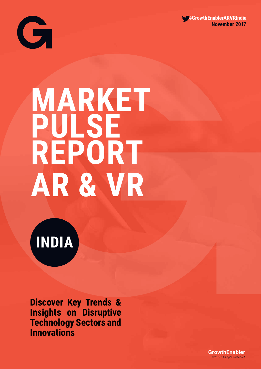



# **MARKET PULSE REPORT AR & VR**

**INDIA**

**Discover Key Trends & Insights on Disruptive Technology Sectors and Innovations**

> *©2017 / All rights reserved* 1\**GrowthEnabler**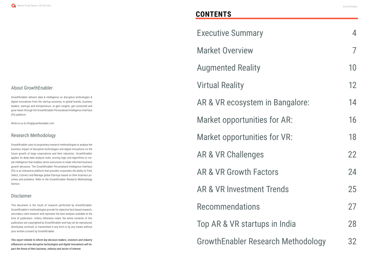#### About GrowthEnabler

GrowthEnabler delivers data & intelligence on disruptive technologies & digital innovations from the startup economy, to global brands, business leaders, startups and entrepreneurs, to gain insights, get connected and grow faster through the GrowthEnabler Personalised Intelligence Interface (Pii) platform.

Write to us at info@growthenabler.com

#### Research Methodology

GrowthEnabler uses its proprietary research methodologies to analyse the business impact of disruptive technologies and digital innovations on the future growth of large corporations and their industries. GrowthEnabler applies its deep-data analysis tools, scoring logic and algorithms to create intelligence that enables senior executives to make informed business growth decisions. The GrowthEnabler Personalised Intelligence Interface (Pii) is an interactive platform that provides corporates the ability to Find, Select, Connect and Manage global Startups based on their business priorities and problems. Refer to the GrowthEnabler Research Methodology Section

#### Disclaimer

This document is the result of research performed by GrowthEnabler. GrowthEnabler's methodologies provide for objective fact-based research, secondary cited research and represent the best analysis available at the time of publication. Unless otherwise noted, the entire contents of this publication are copyrighted by GrowthEnabler and may not be reproduced, distributed, archived, or transmitted in any form or by any means without prior written consent by GrowthEnabler.

*This report intends to inform key decision makers, investors and industry influencers on how disruptive technologies and digital innovations will impact the future of their business, industry and sector of interest.*

|               | 7  |
|---------------|----|
|               | 10 |
|               | 12 |
| angalore:     | 14 |
| · AR:         | 16 |
| · VR:         | 18 |
|               | 22 |
|               | 24 |
| าds           | 25 |
|               | 27 |
| India         | 28 |
| I Methodology | 32 |

### **CONTENTS**

**Executive Summary** 

Market Overview

**Augmented Reality** 

**Virtual Reality** 

AR & VR ecosystem in B

Market opportunities for

Market opportunities for

AR & VR Challenges

AR & VR Growth Factors

AR & VR Investment Tren

**Recommendations** 

Top AR & VR startups in

GrowthEnabler Research Methodology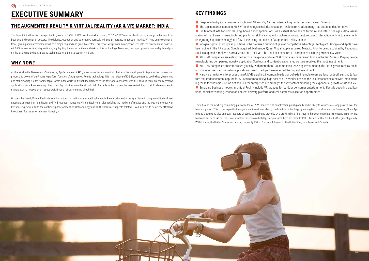## **EXECUTIVE SUMMARY**

#### **THE AUGMENTED REALITY & VIRTUAL REALITY (AR & VR) MARKET: INDIA**

The India AR & VR market is expected to grow at a CAGR of 76% over the next six years, (2017 to 2022) and will be driven by a surge in demand from business and consumer sectors. The defence, education and automotive verticals will see an increase in adoption in AR & VR. And on the consumer front, gaming and entertainment will be a major demand and growth creator. This report will provide an objective lens into the practical use-cases of AR & VR across key industry verticals, highlighting the opportunities and risks of this technology. Moreover, the report provides an in-depth analysis on the emerging and fast-growing tech innovators and Startups in AR & VR.

#### **WHY NOW?**

At the Worldwide Developers Conference, Apple revealed ARKit, a software development kit that enables developers to tap into the camera and processing power of an iPhone to perform function of Augmented Reality technology. With the release of iOS 11, Apple turned up the heat, becoming one of the leading AR development platforms in the world. But what does it mean to the developer/consumer world? Turns out, there are many creative applications for AR - measuring objects just by pointing a mobile, virtual trial of a table in the kitchen, immersive training and skills development in manufacturing houses, even reduce wait times at airports during check-ins!

● Edutainment kits for kids' learning, home decor applications for a virtual showcase of furniture and interior designs, data visualization of machinery in manufacturing plants for skill training and machine analysis, gesture based interaction with virtual elements (integrating haptic technology) are few of the rising use-cases of Augmented Reality in India. Inorganic growth through acquisitions is the preferred method of gaining competitive advantage. Tech giants Google and Apple have been active in the AR space; Google acquired Eyefluence, Quest Visual, Apple acquired Meta.io. Prior to being acquired by Facebook, Oculus acquired NimbleVR, SurrealVision and The Eye Tribe. Intel has acquired VR companies including Movidius & Voke. ● 900+ VR companies are established across the globe, and over 300 companies have raised funds in the last 5 years. Display device manufacturing companies, industry application Startups and content creation studios have received the most investment. ● 600+ AR companies are established globally, with more than 120 companies receiving investment in the last 5 years. Display medium manufacturers and industry applications based Startups have received the highest investment.

On the other hand, Virtual Reality is enabling a transformation of storytelling by media & entertainment firms apart from finding a multitude of usecases across gaming, healthcare, and TV broadcast industries. Virtual Reality can also redefine the medium of movies and the way we interact with live sporting events. With the continuing development of VR technology and all the hardware aspects related, it will turn out to be a very attractive investment for the entertainment industry. v

#### **KEY FINDINGS**

● Despite industry and consumer adoption of AR and VR, AR has potential to grow faster over the next 5 years.

● The top industries adopting AR & VR technologies include, education, healthcare, retail, gaming, real estate and automotive

● Hardware limitations for processing AR & VR graphics, incompatible designs of existing mobile camera lens for depth sensing (a feature required for content capture for AR & VR compatibility), high cost of AR & VR devices and the risk factor associated with implementing these technologies, i.e. no defined ROI for enterprises are amongst the key factors hindering the exponential growth of AR and VR. ● Emerging business models in Virtual Reality include VR arcades for outdoor consumer entertainment, lifestyle coaching applications, social networking, education content delivery platform and real-estate visualization opportunities.

Touted to be the next big computing platform, the AR & VR market is at an inflection point globally and is likely to witness a strong growth over the forecast period. This is due in part to the significant investments being made in this technology by leading tier 1 vendors such as Samsung, Sony, Apple and Google and also an equal measure of participation being provided by a growing list of Startups in this segment that are investing in platforms, tools and services. As per the GrowthEnabler personalized intelligence platform there are close to 1500 Startups within the AR & VR segment globally. Within these, the United States accounting for nearly 45% of Startups followed by the United Kingdom, Israel and Canada.

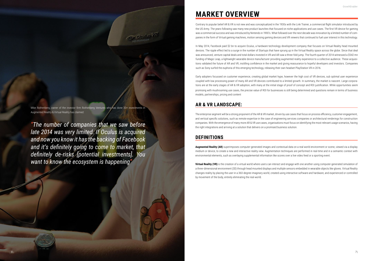## **MARKET OVERVIEW**

Contrary to popular belief AR & VR is not new and was conceptualized in the 1930s with the Link Trainer, a commercial flight simulator introduced by the US Army. The years following saw many new product launches that focused on niche applications and use cases. The first VR device for gaming was a commercial success and was introduced by Nintendo in 1990's. What followed over the next decade was innovation by a limited number of companies in the form of Virtual gaming machines, motion sensing gaming devices and VR viewers that continued to fuel user interest in this technology.

In May 2014, Facebook paid \$2 bn to acquire Oculus, a hardware technology development company that focuses on Virtual Reality head mounted devices. The ripple effect led to a surge in the number of Startups that have sprung up in the Virtual Reality space across the globe. Since that deal was announced, venture capital deals and total dollars invested in VR and AR saw a three-fold jump. The fourth quarter of 2014 witnessed a \$542 mn funding of Magic Leap, a lightweight wearable device manufacturer providing augmented reality experience to a collective audience. These acquisitions validated the future of AR and VR, instilling confidence in the market and giving reassurance to hopeful developers and investors. Companies such as Sony surfed the euphoria of this emerging technology, releasing their own headset PlayStation VR in 2016.

Early adopters focussed on customer experience, creating global market hype, however the high cost of VR devices, sub optimal user experience coupled with low processing power of many AR and VR devices contributed to a limited growth. In summary, the market is nascent. Large corporations are at the early stages of AR & VR adoption, with many at the initial stage of proof of concept and ROI justification. While opportunities seem promising with mushrooming use cases, the precise value of ROI for businesses is still being determined and questions remain in terms of business models, partnerships, pricing and content

#### **AR & VR LANDSCAPE:**

The enterprise segment will be a strong proponent of the AR & VR market, driven by use cases that focus on process efficiency, customer engagement, and vertical specific solutions, such as remote expertise in the case of engineering services companies or architectural renderings for construction companies. With the emergence of many more AR & VR use cases, organisations must focus on identifying the most relevant usage scenarios, having the right integrations and arriving at a solution that delivers on a promised business solution.

#### **DEFINITIONS**

**Augmented Reality (AR)** superimposes computer generated images and contextual data on a real world environment or scene, viewed via a display medium or device, to create a new and interactive reality view. Augmentation techniques are performed in real-time and in a semantic context with environmental elements, such as overlaying supplemental information like scores over a live video feed or a sporting event.

**Virtual Reality (VR)** is the creation of a virtual world where users can interact and engage with one another using computer-generated simulation of a three-dimensional environment (3D) through head mounted displays and multiple sensors embedded in wearable objects like gloves. Virtual Reality changes reality by placing the user in a 360-degree imaginary world, created using interactive software and hardware, and experienced or controlled by movement of the body, entirely eliminating the real-world.



Mike Rothenberg, owner of the investor firm Rothenberg Ventures who has done 30+ investments in Augmented Reality & Virtual Reality has claimed:

*"The number of companies that we saw before*  late 2014 was very limited. If Oculus is acquired *and now you know it has the backing of Facebook and it's definitely going to come to market, that definitely de-risks [potential investments]. You want to know the ecosystem is happening"*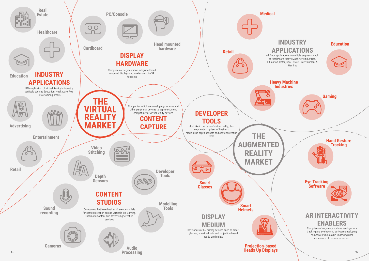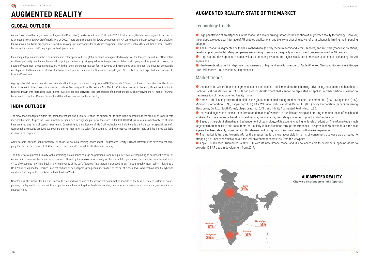## **AUGMENTED REALITY**

#### **GLOBAL OUTLOOK**

As per GrowthEnabler projections the Augmented Reality (AR) market is set to be \$151 bn by 2022. Furthermore, the hardware segment is expected to witness growth at a CAGR of nearly 94% by 2022. There are three basic hardware components in AR systems: sensors, processors, and displays. Innovations in hardware are expected to induce major growth prospects for hardware equipment in the future, such as the evolution of smart contact lenses and advanced HMDs equipped with AR processors.

Increasing adoption across the e-commerce and retail space will spur global demand for augmented reality over the forecast period. AR offers retailers the opportunity to enhance the overall shopping experience by bringing to life; an image, product label or shopping window, greatly improving the degree of customer - product interaction. With the rise in consumer interest for AR devices and AR enabled smartphones, the need for compatible AR chips has led to an accelerated AR hardware development - such as the Qualcomm Snapdragon 835 for Android and expected announcements from AMD and Intel.

A geographical distribution of demand indicates that Europe is estimated to grow at a CAGR of nearly 75% over the forecast period and will be driven by an increase in investments in countries such as Germany and the UK. Within Asia Pacific, China is expected to be a significant contributor to regional growth with increasing investments in AR devices and software. Rise in the usage of smartphones is currently driving the AR market in China. Local vendors such as Renren, Tencent and Baidu have invested in the technology.

#### **INDIA OUTLOOK**

● High penetration of smartphones in the market is a major driving factor for the adoption of augmented reality technology. However, the under-developed user interface of AR enabled applications, and the low processing power of smartphones is limiting the impending adoption.

The slow pace of adoption within the Indian market has had a ripple effect on the number of Startups in this segment and the amount of investments received by them. As per the GrowthEnabler personalised intelligence platform, there are under 100 AR Startups in total of which only 5% of them have received any form of capital investment. Constraints to the adoption of AR & VR technology in India include the high cost of specialised software which are used to produce such campaigns. Furthermore, the talent for creating AR and VR creatives is scarce in India and the limited available resources are expensive.

 $\bullet$  The AR market is segmented on the basis of hardware (display medium, semiconductors, sensors) and software (mobile applications, developer platform tools). Many companies are working to enhance the quality of sensors and processors used in AR devices.

**•** Progress and development in optics will aid in creating systems for higher-resolution immersive experiences, enhancing the AR experience.

● Hardware development in depth-sensing cameras of high-end smartphones, e.g.. Apple iPhoneX, Samsung Galaxy line & Google Pixel, will improve and enhance AR experiences

● Use cases for AR are found in segments such as aerospace, retail, manufacturing, gaming, advertising, education, and healthcare. Each vertical has its own set of skills for product development that cannot be replicated or applied in other verticals, leading to fragmentation of the Augmented Reality market.

A few notable Startups include Smartivity Labs in Education & Training, and Whodat – Augmented Reality R&D and infrastructure development company that aids in development of AR apps across verticals like Retail, Real Estate and Gaming.

● Some of the leading players identified in the global augmented reality market include Qualcomm, Inc. (U.S.), Google, Inc. (U.S.), Microsoft Corporation (U.S.), Blippar.com Ltd (U.K.), Wikitude GmbH (Austria), Daqri LLC (U.S.), Sony Corporation (Japan), Samsung Electronics, Co. Ltd. (South Korea), Magic Leap, Inc. (U.S.), and Infinity Augmented Reality Inc. (U.S.).

**•** Increased digitization means the information demands of workers in the field are rising and starting to match those of deskbound workers. AR offers potential benefits to field service, maintenance, marketing, customer support, and other functions.

The future for Augmented Reality looks promising as a number of large corporations from multiple verticals are beginning to harness the power of AR and VR to improve the customer experience offered by them. Axis bank is using AR for its mobile application. Car manufacturer Renault used VR to showcase its new hatchback in a virtual overlay of the car's features. Tata Motors introduced its car Tiago through virtual reality. It featured a Do-It-Yourself VR headset, carried in select editions of newspapers, giving consumers a feel of the car at a basic level. And, fashion brand Maybelline created a 360 degree film for Amazon India Fashion Week.

● Based on the potential market and advancement of technology, AR is experiencing higher levels of adoption. The AR market is much larger and more familiar to end consumers, particularly with applications through smartphones. The growth of AR developers in the past 2 years has been steadily increasing and this demand will only grow in the coming years with market expansion.  $\bullet$  The market is trending towards AR for the masses, as it is more accessible in terms of consumers use case as compared to strapping a VR headset which cuts out the real environment completely from the viewpoint.

● Apple iOS released Augmented Reality SDK with its new iPhone model and is now accessible to developers, opening doors to powerful iOS AR apps in development from 2017.

Nonetheless, the market for AR & VR is here to stay and will be one of the important consumption models of the future. The ecosystem of smartphones, display mediums, bandwidth and platforms will come together to deliver exciting customer experiences and serve as a great medium of entertainment.

#### **AUGMENTED REALITY: STATE OF THE MARKET**

#### Technology trends

#### Market trends



#### **AUGMENTED REALITY**

City-wise distribution in India (approx.)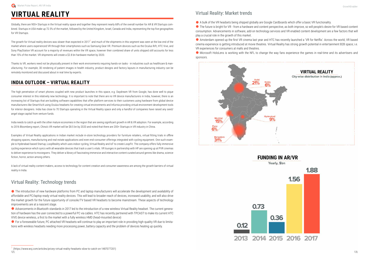## **VIRTUAL REALITY**

Globally, there are 900+ Startups in the Virtual reality space and together they represent nearly 68% of the overall number for AR & VR Startups combined. Startups in USA make up 72.5% of the market, followed by the United Kingdom, Israel, Canada and India, representing the top five geographies for VR Startups.

The growth for Virtual reality devices was slower than expected in 2017<sup>1</sup> and much of the shipments in this segment was seen at the low end of the market where users experienced VR through their smartphones such as Samsung Gear VR. Premium devices such as the Oculus Rift, HTC Vive, and Sony PlayStation VR account for a majority of revenues within the VR space, however their combined share of units shipped still accounts for less than 15% of the market. VR shipments will create a \$2.8 bn hardware market by 2020.

Thanks to VR, workers need not be physically present in their work environments requiring hands-on tasks - in industries such as healthcare & manufacturing. For example, 3D rendering of patient images in health industry, product designs and factory layouts in manufacturing industry can be remotely monitored and discussed about in real time by experts.

#### **INDIA OUTLOOK – VIRTUAL REALITY**

The high penetration of smart phones coupled with new product launches in this space, e.g. Daydream VR from Google, has done well to pique consumer interest in this relatively new technology. It is important to note that there are no VR device manufacturers in India, however, there is an increasing list of Startups that are building software capabilities that offer platform services to their customers using hardware from global device manufacturers like SmartVizX using Oculus headsets for creating virtual environments and Infurnia providing virtual environment development tools for interior designers. India has close to 70 Startups operating in the Virtual Reality space and only a handful of companies have raised any seed/ angel stage capital from venture funds.

 $\bullet$  The introduction of new hardware platforms from PC and laptop manufacturers will accelerate the development and availability of affordable and PC/laptop ready virtual reality devices. This will lead to broader reach of devices, increased usability, and will also drive the market growth for the future opportunity of console/TV based VR headsets to become mainstream. These aspects of technology improvements are at a nascent stage.

● Advancements in Bluetooth standards in 2017 led to the introduction of a new wireless Virtual Reality headset. The current generation of hardware has the user connected to a powerful PC via cables. HTC has recently partnered with TPCAST to make its current HTC VIVE device wireless, a first to the market with a fully wireless HMD (head-mounted device)

● For a foreseeable future, PC attached VR headsets will continue to play an important role in providing high-quality VR due to limitations with wireless headsets needing more processing power, battery capacity and the problem of devices heating up quickly.



<sup>1</sup> (https://www.wsj.com/articles/pricey-virtual-reality-headsets-slow-to-catch-on-1487077201)  $12\sqrt{ }$ 

India needs to catch up with the other mature economies in the region that are seeing significant growth in AR & VR adoption. For example, according to 2016 Bloomberg report, China's VR market will be \$8.5 bn by 2020 and noted that there are 200+ Startups in VR industry in China.

● The future is bright for VR - from a hardware and content perspective, as both improve, so will people's desire for VR based content consumption. Advancements in software, add-on technology services and VR enabled content development are a few factors that will play a crucial role in the growth of this market.

● Amsterdam opened up the first VR cinema last year and HTC has recently launched a 'VR for Netflix'. Across the world, VR based cinema experience is getting introduced at movie theatres. Virtual Reality has strong growth potential in entertainment B2B space; i.e. VR experiences for consumers at malls and theatres.

 $\bullet$  Microsoft HoloLens is working with the NFL to change the way fans experience the games in real-time and its advertisers and sponsors.



#### **FUNDING IN AR/VR**

Yearly, \$bn

Examples of Virtual Reality applications in Indian market include in-store technology providers for furniture retailers, virtual fitting trials in offline shopping spaces, manufacturing and real-estate applications and even end-consumer offerings integrated with cycling equipment. One such example is Hyderabad-based Startup, LoopReality which uses indoor cycling, Virtual Reality and IoT to create LoopFit. The company offers fully immersive cycling experience which syncs with all wearable devices that track a user's vitals. VR lounges in partnership with HP are opening up at PVR cinemas to deliver experience to moviegoers. They deliver a library of fascinating immersive and interactive content curated around genres like drama, science fiction, horror, action among others.

A lack of virtual reality content makers, access to technology for content creation and consumer awareness are among the growth barriers of virtual reality in India.

#### Virtual Reality: Technology trends

#### Virtual Reality: Market trends

A bulk of the VR headsets being shipped globally are Google Cardboards which offer a basic VR functionality.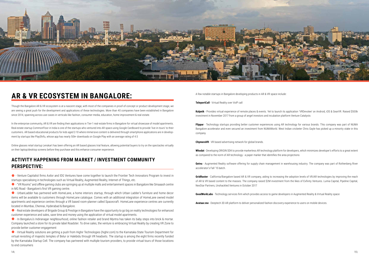

## **AR & VR ECOSYSTEM IN BANGALORE:**

Though the Bangalore AR & VR ecosystem is at a nascent stage, with most of the companies in proof-of-concept or product development stage, we are seeing a great push for the development and applications of these technologies. More than 40 companies have been established in Bangalore since 2014, spanning across use-cases in verticals like fashion, consumer media, education, home improvement & real-estate.

In the enterprise community, AR & VR are finding their applications in Tier-1 real-estate firms in Bangalore for virtual showcase of model apartments. Real estate startup CommonFloor in India is one of the startups who ventured into AR space using Google Cardboard to provide 'live-in-tours' to their customers. AR based educational products for kids aged 2-10 where immersive content is delivered through smartphone applications are in development by startups like PlayShifu, whose app has nearly 50k+ downloads on Google Play with an average rating of 4.5

Online glasses retail startup Lenskart has been offering an AR based glasses trial feature, allowing potential buyers to try on the spectacles virtually on their laptop/desktop screens before they purchase and this enhance consumer experience.

• Real estate developers of Brigade Group & Prestige in Bangalore have the opportunity to go big on reality technologies for enhanced customer experience and sales, save time and money using the application of virtual model apartments.

#### **ACTIVITY HAPPENING FROM MARKET / INVESTMENT COMMUNITY PERSPECTIVE:**

**•** In Bengaluru's Indiranagar neighbourhood, online fashion retailer and brand Myntra has taken its baby steps into brick & mortar. Company launched a store for its private label Roadster. To drive sales, the venture is embracing Virtual Reality by creating VR Zone to provide better customer engagement

z - Venture Capitalist firms Axilor and IDG Ventures have come together to launch the Frontier Tech Innovators Program to invest in startups specialising in technologies such as Virtual Reality, Augmented Reality, Internet of Things, etc.

z - "VR Rooms" and offline gaming clubs are springing up at multiple malls and entertainment spaces in Bangalore like Smaaash centre in MG Road - Bangalore's first VR gaming centre.

z - UrbanLadder has partnered with HomeLane, a home interiors startup, through which Urban Ladder's furniture and home decor items will be available to customers through HomeLane catalogue. Comes with an additional integration of HomeLane owned model apartments and experience centres through a VR based room-planner called Spacecraft. HomeLane experience centres are currently located in Mumbai, Chennai, Hyderabad & Bangalore.

z - Virtual Reality solutions are getting a push from Highir Technologies (highir.com) to the Karnataka State Tourism Department for virtual revisiting of majestic temples of Belur or Halebidu through VR headsets. The startup is among the eight firms recently funded by the Karnataka Startup Cell. The company has partnered with multiple tourism providers, to provide virtual tours of those locations to end consumers

A few notable startups in Bangalore developing products in AR & VR space include:

**TeleportCall** - Virtual Reality over VoIP call

**Kalpnik** - Provides virtual experience of remote places & events. Yet to launch its application 'VRDevotee' on Android, iOS & GearVR. Raised \$500k investment in November 2017 from a group of angel investors and incubation platform Venture Catalysts

**Flippar** - Technology startups providing better customer experiences using AR technology for various brands. This company was part of NUMA Bangalore accelerator and even secured an investment from NUMAWorld. West Indian cricketer Chris Gayle has picked up a minority stake in this company

**ChymeraVR** - VR based advertising network for global brands.

**Whodat** - Developing ORIGIN SDK to provide markerless AR technology platform for developers, which minimizes developer's efforts to a great extent as compared to the norm of AR technology - a paper marker that identifies the area projections

**Getvu** - Augmented Reality software offering for supply chain management in warehousing industry. The company was part of Rothenberg River accelerator's Fall '15 batch.

**GridRaster** - California/Bangalore based AR & VR company, aiding to increasing the adoption levels of VR/AR technologies by improving the reach of AR & VR based content to the masses. The company raised \$2M investment from the likes of Exfinity Ventures. Lumia Capital, Pipeline Capital, NexStar Partners, Unshackled Ventures in October 2017

**GoodWorkLabs** - Technology services firm which provides access to game developers in Augmented Reality & Virtual Reality space

**Avataar.me** - Deeptech 3D AR platform to deliver personalized fashion discovery experience to users on mobile devices.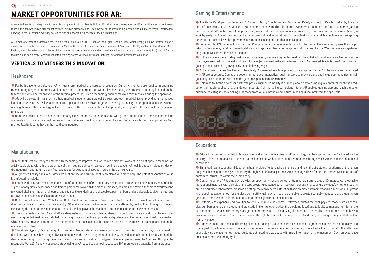## **MARKET OPPORTUNITIES FOR AR:**

Augmented reality has a high growth potential compared to Virtual Reality. Unlike VR's fully immersive experience, AR allows the user to see the surroundings when wearing an AR headset or when using an AR mobile app. The physical environment is augmented with a digital overlay of information, allowing users to continue everyday activities with an enhanced experience of their surroundings.

**•** For both patients and doctors, AR will transform medical and surgical procedures. Currently, monitors are required in operating rooms during surgeries to display vital stats. With AR, the surgeon can wear a headset during the procedure and stay focused on the task at hand with a better analysis of the surgical procedure. Such a technology enabler may minimize mistakes during the operation.

A rudimentary form of augmented reality is a heads-up display, or HUD, such as the original Google Glass, which simply displays information on a small screen near the user's eyes. HoloLens by Microsoft represents a more advanced version of Augmented Reality enabler (referred to as Mixed Reality), in which the technology places digital objects into user's field of view which can be manipulated through haptics integration (control. Such a feature would completely transform industrial training across verticals like manufacturing, automobile, healthcare, education.

AR will be pivotal in transforming how medical students and surgical trainees approach medical tasks, providing an enhanced learning experience. AR will enable doctors to perform less invasive surgeries driven by the ability to see patient's insides without opening them up. The technology will improve patient aftercare, especially for elder patients, as a digital health assistant for medication reminders.

#### **VERTICALS TO WITNESS THIS INNOVATION:**

#### Healthcare:

**•** Remote support of live medical procedures by expert doctors, student education with quided annotations on a medical procedure, augmentation of live pictures with notes and medical references to students during training phases are a few of the implications Augmented Reality is set to have in the healthcare industry.

C Manufacturers are ready to embrace AR technology to improve their workplace efficiency. Workers in a plant operate machines on a daily basis along with a high percentage of them getting trained on various machinery aspects. AR tech is already making strides on the industrial manufacturing plant floor and is set for exponential adoption rates in the coming years.

**•** Faster workplace: Jet and turbo engine manufacturing is one of the most risky and intricate procedures in the industry requiring the support of only highly experienced and trained personnel. Now with the aid of AR glasses, cameras and motion sensors to overlay all the relevant digital information, engineers are able to see the renderings of bolts, cables, part numbers and are also able to view instructions on how to assemble a specific component with ease.

• Reduce maintenance time: With AR firm Reflekt, automotive company Bosch is able to drastically cut down its maintenance procedures to stay ahead in the automotive industry. AR enables any person to conduct mechanical tasks by guiding them through 3D models, eliminating the need for any maintenance manuals, and displaying the machine's status in real time for timely maintenance.

**•** Training assistance: Both AR and VR are demonstrating immense potential when it comes to assistance in industrial training scenarios. Augmented Reality headsets help in tagging specific objects and provides a digital overlay of information on the display medium which not only provides information on the procedure of a certain task, but also help trainers streamline the training facilities on the manufacturing plant.

#### Manufacturing:

• Visual prototyping / device design improvement: Product design engineers can now study and test complex physics at a level of detail that was impossible through physical testing with the help of Augmented Reality. AR provides an operational visualization of the device under design, improving the efficiency and usefulness of virtual prototyping. One example, observed by Aberdeen Group at the recent LiveWorx 2017 show, was a case study using an AR-based design tool to squeeze 30% more cooling capacity from a product.

The Game Developers Conference in 2017 was ruled by 2 technologies: Augmented Reality and Virtual Reality. Fuelled by the success of PokemonGo in 2016, Mobile AR has become the new medium for game developers to focus on the future consumer gaming entertainment. AR-enabled mobile applications (driven by drastic improvements in processing power and mobile camera technology) work by analysing the surroundings and superimposing digital information onto the actual landscape. Mobile technologies are getting better at this especially with improvements in motion sensing and depth sensing aspects.

z Augmented Reality aims to cut down production time and quickly identify problems with machinery. The potential benefits of AR in Manufacturing include:

• For example, iOS game Piclings uses the iPhone camera to create level layouts for the game. The game recognizes the images taken by the camera, redefines them digitally, and incorporates them into the game world. Games like Star Wars Arcade are capable of integrating live camera feeds into the game.

Goldmine for brand advertiser partnerships: As Augmented Reality is primarily about showcasing digital content through the headset or the mobile applications, brands can integrate their marketing campaigns into an AR enabled gaming app and reach a greater audience, resulting in users making purchases from various brands (and in turn unlocking discounts) from the app itself.



 $\bullet$  Educational content coupled with interactive and immersive features of AR technology can be a game changer for the education industry. Based on our analysis of the education landscape, we have identified few functions through which AR adds to the educational experience:

● Enhanced health education: Education in health-related fields requires an understanding of the structure & functioning of the human body, which cannot be conveyed accurately through 2-dimensional pictures. AR technology allows for detailed immersive exploration of anatomical structures within the human body.

Content creation: AR technology provides an opportunity for any school or training program to create 3D interactive/holographic instructional materials with the help of Startups providing content creation tools (without any prior coding knowledge). Whether students are in a workplace, laboratory or classroom setting, they can receive instruction that is animated, immersive and 3-dimensional. Augment is one such educational tool for the classroom setting using which teachers are able to create scannable handouts and students can generate 3D models and relevant animations for the subject/topic in discussion

● Portable, less-expensive and evolution to BYOD culture in classrooms: Prototypes, printed material, physical models are all expensive, cumbersome to carry around and are static in their functions. Also, the problems faced due to logistics management for all the supplemental material and inventory management are immense. AR is digitizing all educational material so that institutes do not have to invest in physical materials. Students can browse through the material from any compatible device, accessing the augmented content from any place.

 $\bullet$  Higher retention and enhanced learning experience: Using AR, students are able to access augmented models representing anything from a part of the human anatomy to a famous monument. For example, after scanning a photo linked with a 3D model of the Eiffel tower and viewing the augmented image, students get linked to a web page with more information on the monument. Such an experience creates a complete learning cycle.

#### Gaming & Entertainment:

z Unlike VR where there is a high risk of motion sickness / nausea, Augmented Reality substantially diminishes any such effects as the user's eyes are fixed both on real world and virtual objects as well in the same frame of view. Augmented Reality is transforming today's gaming, and is poised to grow quickly in the following ways:

z Activity driven games & enhanced interactivity: Augmented Reality is proving to be a ''game changer'' in the way games integrated with AR are structured. Games are becoming more user interactive, requiring users to move around and include surroundings in their gameplay. This fun factor will make the gaming experience more immersive

#### Education: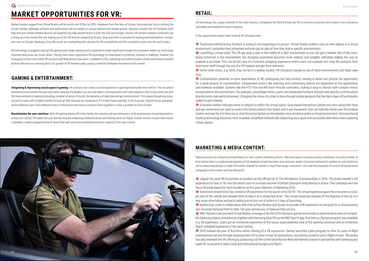## **MARKET OPPORTUNITIES FOR VR:**

Market studies suggest that Virtual Reality will be worth over \$15bn by 2020. Hardware from the likes of Oculus, Samsung and Sony is driving the current market, although software and applications will be needed to sustain interest and market growth. Business models like VR hardware, both high-end and mobile enabled devices are experiencing high growth levels in both the USA and Europe. Several VR content creation companies are coming up in the market that are making use of the VR devices released by Oculus, Sony and other corporates for testing and development. Companies such as Google, Samsung, Sony, Microsoft are strategizing their devices for VR compatibility and this is poised to grow over the next 5 years.

VR technology is pegged to disrupt the gaming and media industry and is expected to make significant inroads into consumer market as technology improves and prices are driven down. Having more users experience VR technology to understand its potential, remains a challenge, however the emergence of low-cost mobile VR solutions will likely attract new users. In addition to this, expecting consumers to wear cumbersome head-mounted devices will serve as a limiting factor for growth of VR headset sales, posing a need for hardware innovation in this market.

#### **GAMING & ENTERTAINMENT:**

**Integrating & improvising social aspect in gaming:** VR solutions can create a social experience in gaming industry like never before. The virtualized elements & environment the user sees when wearing the headset can not only help in communication with other players in the virtual world, but with the improvements in haptics technology (enabler of sense of touch), the dynamics of team play will get revolutionized. This equips the gaming industry and its users with a higher number of tools at their disposal as compared to TV-screen based gaming. It will inculcate "asynchronous gameplay" where different users have different kinds of information and have to combine them together to solve a problem in front of them.

● Traditional method to buy furniture is seeing it and inspecting it in person. Virtual Reality enables users to view objects in a virtual environment, customise their properties and even get an idea of how they look in specific environments.  $\bullet$  Launching a virtual store: The VR app puts a user in the middle of a 360 $\degree$  environment so one can get a realistic feel of the room. Being immersed in this environment, the shopping experience becomes more realistic and tangible, ultimately helping the user to evaluate a purchase. This can be the case of a futuristic shopping experience where users can evaluate and shop the products from their home itself through the use of a VR headset and get them delivered.

● Some retail stores, e.g. IKEA, may not be in a nearby locality. VR transports people to out-of-reach environments and helps save time.

Customization potential: In-store experiences of VR cataloguing can help product viewing in detail and provide the opportunity for a great amount of customization. Complicated actions like selecting and customising objects are dependent on the applications and hardware available. Systems like the HTC Vive and Rift have intricate controllers, making it easy to interact with complex menus incorporated in the environment. For example, using Magix Home, users can manipulate furniture through task specific controls which directly mimic real-world movement. Changing the colour of a chair is done through simple gestures that feel like a layer of functionality added to user's hands.

**Revolutionize the user-interface:** With VR gaming taking off in the market, the industry will see elimination of all unnecessary mouse/keyboard interface for control; VR makes the user feel like they are inhabiting a different world, and entirely works on haptic 'button' control or hand-held motion controllers; camera viewpoint field of view of the user and voice commands will drive majority of the user control.

A location marker indicates areas to teleport to within the virtual space. Gaze-based interactions (where one aims using their head and eye movement) are used to control the reticle position that tracks user's eye movement. One can hold the reticle over the location marker and wait for it to time-out or click the action button to immediately move locations within a virtual environment. Once positional tracking technology becomes more available, simplified methods like teleporting are a good and accessible alternative when exploring virtual spaces.



VR technology has a great potential in the retail industry. Companies like IKEA & Dwell use VR to immerse customers and readers in an interactive and highly personalized furniture shopping.

A few opportunities where retail needs & VR offerings meet:

I Jaguar has used VR to promote its position as the official car of The Wimbledon Championships in 2016. The brand created a VR experience for fans to 'fly' into the centre court in a virtual overview of British Champion Andy Murray in action. This campaign won the Steve Wozniak Award for Tech Excellence at this year's Masters of Marketing 2016.

Automotive brand Volvo has created a VR experience for the launch of its CX-90. The virtual experience gave the consumers a cockpit view of the vehicle and allowed them to take it on a virtual test drive. This virtual showcase showed off the features of the car in a way never done before and led to selling out its first run of orders in 2 days of launching.

● NatGeo has come in collaboration with Felix & Paul Studios and Oculus to provide a VR experience to everyone for a virtual journey into Yosemite National Park for their 100-year anniversary of National Park service.

● 2015 marked the year of first-time airline offering of a VR experience. Qantas launched a pilot program to offer its users in-flight entertainment service through Samsung Gear VR to show virtual 3D destinations, new Qantas products and in-flight movies. The airline has also extended the VR offering by producing a 3D film of the Great Barrier Reef and Hamilton Island in partnership with Samsung and rapid VR, to present in select local and international lounges and flights.

#### **MARKETING & MEDIA CONTENT:**

Several brands are embracing Virtual Reality for their content marketing efforts. With tech giants investing heavily in hardware, it is only a matter of time before there is a widespread adoption of VR headsets at both business and consumer levels. Consumer demand for content on such platforms will increase dramatically to make VR another channel for brands to reach their target customers. Let's take few examples of current VR based brand campaigns in the market and how they work:

z NBC Olympics has provided Virtual Reality coverage of the Rio 2016 Olympics games exclusively to authenticated users of compatible Samsung Galaxy smartphones together with Samsung Gear VR via the NBC Sports app, first time an Olympic program was available in a VR experience. Users got an immersive experience of the venue, unprecedented view of the opening ceremony and an immersive beach volleyball experience in the sport setting.

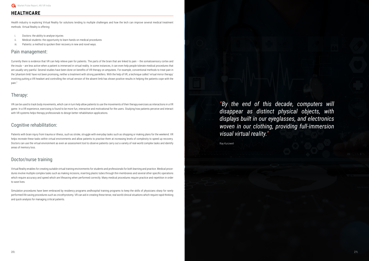#### **HEALTHCARE**

Health industry is exploring Virtual Reality for solutions tending to multiple challenges and how the tech can improve several medical treatment methods. Virtual Reality is offering:

- Doctors: the ability to analyse injuries
- ii. Medical students: the opportunity to learn hands-on medical procedures
- iii. Patients: a method to quicken their recovery in new and novel ways.

#### Pain management:

Currently there is evidence that VR can help relieve pain for patients. The parts of the brain that are linked to pain – the somatosensory cortex and the insula – are less active when a patient is immersed in virtual reality. In some instances, it can even help people tolerate medical procedures that are usually very painful. Several studies have been done on benefits of VR therapy on amputees. For example, conventional methods to treat pain in the 'phantom limb' have not been promising, neither a treatment with strong painkillers. With the help of VR, a technique called 'virtual mirror therapy' involving putting a VR headset and controlling the virtual version of the absent limb has shown positive results in helping the patients cope with the pain."

#### Therapy:

VR can be used to track body movements, which can in turn help allow patients to use the movements of their therapy exercises as interactions in a VR game. In a VR experience, exercising is found to be more fun, interactive and motivational for the users. Studying how patients perceive and interact with VR systems helps therapy professionals to design better rehabilitation applications.

#### Cognitive rehabilitation:

Patients with brain injury from trauma or illness, such as stroke, struggle with everyday tasks such as shopping or making plans for the weekend. VR helps recreate these tasks within virtual environments and allow patients to practise them at increasing levels of complexity to speed up recovery. Doctors can use the virtual environment as even an assessment tool to observe patients carry out a variety of real-world complex tasks and identify areas of memory loss.

#### Doctor/nurse training

Virtual Reality enables for creating suitable virtual training environments for students and professionals for both learning and practice. Medical procedures involve multiple complex tasks such as making incisions, inserting plastic tubes through thin membranes and several other specific operations which require accuracy and speed which are lifesaving when performed correctly. Many medical procedures require practice and repetition in order to save lives.

Simulation procedures have been embraced by residency programs andhospital training programs to keep the skills of physicians sharp for rarely performed life saving procedures such as cricothyrotomy. VR can aid in creating these tense, real world clinical situations which require rapid thinking and quick analysis for managing critical patients.

*"By the end of this decade, computers will disappear as distinct physical objects, with displays built in our eyeglasses, and electronics woven in our clothing, providing full-immersion visual virtual reality."*

Ray Kurzweil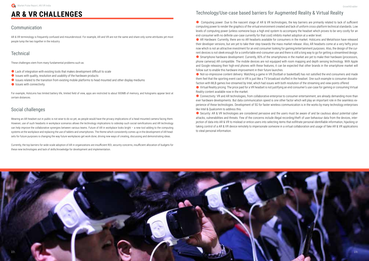## **AR & VR CHALLENGES**

#### Communication

AR & VR terminology is frequently confused and misunderstood. For example, AR and VR are not the same and share only some attributes yet most people lump the two together in the industry

#### **Technical**

These challenges stem from many fundamental problems such as:

- $\bullet$  Lack of integration with existing tools that makes development difficult to scale
- $\bullet$  Issues with quality, resolution and usability of the hardware products
- Issues related to the transition from existing mobile platforms to head mounted and other display mediums
- $\bullet$  Issues with connectivity.

For example, HoloLens has limited battery life, limited field of view, apps are restricted to about 900MB of memory, and holograms appear best at certain distances.

#### Social challenges

Computing power: Due to the nascent stage of AR & VR technologies, the key barriers are primarily related to lack of sufficient computing power to render the graphics of the virtual environment created and lack of uniform cross-platform technical standards. Low levels of computing power (unless someone buys a high end system to accompany the headset which proves to be very costly for an end-consumer with no definite use-case currently for that cost) inhibits market adoption at a wider level.

Wearing an AR headset out in public is not wise to do so yet, as people would have the privacy implications of a head-mounted camera facing them. However, use of such headsets in workplace scenarios allows the technology implications to sidestep such social ramifications and AR technology can help improve the collaborative synergies between various teams. Future of AR in workplace looks bright – a new tool adding to the computing systems at the workplace and replacing the use of tablets and smartphones. The theme which consistently comes up in the development of AR headsets for future purposes is changing the way future workplaces get work done, driving new ways of creating, discussing and demonstrating ideas.

Currently, the top barriers for wide-scale adoption of AR in organizations are insufficient ROI, security concerns, insufficient allocation of budgets for these new technologies and lack of skills/knowledge for development and implementation.

AR Hardware: Currently, there are no AR headsets available for consumers in the market. HoloLens and MetaVision have released their developer versions, but are yet to take their step towards the mass market release. Also, AR headsets come at a very hefty price now which is not an attractive investment for an end consumer looking for gaming/entertainment purposes. Also, the design of the current devices is not sleek enough for a comfortable end-consumer use and there is still a long way to go for getting a streamlined design. ● Smartphone hardware development: Currently, 80% of the smartphones in the market are yet to make their hardware (processors, phone cameras) AR compatible. The mobile devices are not equipped with room mapping and depth sensing technology. With Apple and Google releasing their high-end phones with these features, it can be expected that other brands in the smartphone market will follow suit to enable this hardware improvement in their future launches.

#### Technology/Use-case based barriers for Augmented Reality & Virtual Reality

**•** Not-so-impressive content delivery: Watching a game in VR (football or basketball) has not satisfied the end consumers and made them feel that the sporting event cast in VR is just like a TV broadcast stuffed in the headset. One such example is consumer dissatisfaction with MLB games live-streamed by Intel, which had issues with both resolution of the streaming and view-points offered

● Virtual Reality pricing: The price paid for a VR headset is not justifying an end consumer's use-case for gaming or consuming Virtual Reality content available now in the market.

● Connectivity: VR and AR technologies, from collaborative enterprise to consumer entertainment, are already demanding more than ever hardware developments. But data communication speed is one other factor which will play an important role in the seamless experience of these technologies. Development of 5G for faster wireless communication is in the works by many technology enterprises like Intel & Qualcomm to address this.

● Security: AR & VR technologies are considered pervasive and the users must be aware of and be cautious about potential cyber attacks, vulnerabilities and threats. Few of the concerns include illegal recording/theft of user behaviour data from the devices, interjection of data into AR & VR to mislead or entice users into selecting items that exfiltrate personal identifiable information, hijacking or taking control of a AR & VR device remotely to impersonate someone in a virtual collaboration and usage of fake AR & VR applications to steal personal information.

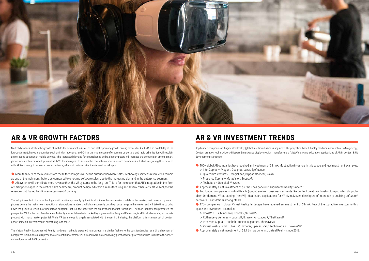

## **AR & VR GROWTH FACTORS**

Market dynamics identify the growth of mobile device market in APAC as one of the primary growth driving factors for AR & VR. The availability of the low-cost smartphones in countries such as India, Indonesia, and China, the rise in usage of e-commerce portals, and rapid urbanization will result in an increased adoption of mobile devices. This increased demand for smartphones and tablet computers will increase the competition among smartphone manufacturers for adoption of AR & VR technologies. To sustain the competition, mobile device companies will start integrating their devices with AR technology to enhance user experience, which will in turn, drive the demand for AR apps.

 $\bullet$  More than 50% of the revenue from these technologies will be the output of hardware sales. Technology services revenue will remain

AR systems will contribute more revenue than the VR systems in the long run. This is for the reason that AR's integration in the form of smartphone apps in the verticals like healthcare, product design, education, manufacturing and several other verticals will eclipse the revenue contributed by VR in entertainment & gaming.

as one of the main contributors as compared to one-time software sales, due to the increasing demand in the enterprise segment.

- 
- > Intel Capital Avegant, Occipital, Layar, Eyefluence
- > Qualcomm Ventures MagicLeap, Blippar, Neobear, Navdy
- > Presence Capital MetaVision, ScopeAR
- > Techstars Occipital, Vieweet
- $\bullet$  Approximately a net investment of \$2.5bn+ has gone into Augmented Reality since 2013.

The adoption of both these technologies will be driven primarily by the introduction of less expensive models to the market, first powered by smartphones before the mainstream adoption of stand-alone headsets (which are currently on a high price range in the market and will take time to bring down the prices to result in a widespread adoption, just like the case with the smartphone market transition). The tech industry has promoted the prospect of VR for the past few decades. But only now, with headsets backed by big names like Sony and Facebook, is VR finally becoming a concrete product with mass market potential. While VR technology is largely associated with the gaming industry, the platform offers a new set of content opportunities in entertainment, advertising, and more.

● Top funded companies in Virtual Reality (global) are from business segments like Content creation infrastructure providers (Improbable), On-demand VR streaming (NextVR), Healthcare applications for VR (MindMaze), developers of interactivity enabling software/ hardware (LeapMotion) among others.

● 170+ companies in global Virtual Reality landscape have received an investment of \$1mn+. Few of the top active investors in this space and investment examples:

- > BoostVC 8i, Mindshow, BoomTV, SurrealVR
- > Rothenberg Ventures JauntVR, 8i, Wevr, AltspaceVR, TheWaveVR
- > Presence Capital Baobab Studios, Bigscreen, TheWaveVR
- > Virtual Reality Fund SliverTV, Immersv, Spaces, Varjo Technologies, TheWaveVR
- $\bullet$  Approximately a net investment of \$2.7 bn has gone into Virtual Reality since 2013.

● 100+ global AR companies have received an investment of \$1mn+. Most active investors in this space and few investment examples:

The Virtual Reality & Augmented Reality hardware market is expected to progress in a similar fashion to the past tendencies regarding shipment of computers. Computers did represent a substantial investment initially and were as such mainly purchased for professional use, similar to the observation done for AR & VR currently.

## **AR & VR INVESTMENT TRENDS**

Top funded companies in Augmented Reality (global) are from business segments like projection-based display medium manufacturers (Magicleap), Content creation tool providers (Blippar), Smart glass display medium manufacturers (MetaVision) and education applications of AR in content & kit development (NeoBear).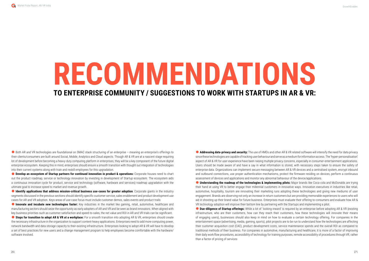● Both AR and VR technologies are foundational on SMAC stack structuring of an enterprise – meaning an enterprise's offerings to their clients/consumers are built around Social, Mobile, Analytics and Cloud aspects. Though AR & VR are at a nascent stage requiring lot of development before becoming a heavy-duty computing platform in enterprises, they will be a key component of the future digital enterprise ecosystem. Keeping this in mind, enterprises should ensure a smooth transition with thought out integration of technologies into their current systems along with train and reskill employees for this upgradation.

**C** Develop an ecosystem of Startup partners for continued innovation in product & operations: Corporate houses need to chart out the product roadmap, service or technology innovation by investing in development of Startup ecosystem. The ecosystem aids a continuous innovation cycle for product, service and technology (software, hardware and services) roadmap upgradation with the ultimate goal to increase speed to market and revenue growth.

**C** Identify applications that address mission-critical business use-cases for greater adoption: Corporate giants in the industry segments discussed in the previous sections should identify specific customer service, sales enablement and product development use cases for AR and VR adoption. Keys areas of use-case focus must include customer demos, sales events and product trails

**C** Innovate and incubate new technologies faster: Key industries in the market like gaming, retail, automotive, healthcare and manufacturing sectors should seize the opportunity as early adopters of AR and VR and be seen as brand innovators. When aligned with key business priorities such as customer satisfaction and speed-to-sales, the net value and ROI in AR and VR trials can be significant.

**Steps for transition to adopt AR & VR at a workplace:** For a smooth transition into adopting AR & VR, enterprises should create the necessary infrastructure in the organization to support content-heavy applications. Enterprises need to add more computing power, network bandwidth and data storage capacity to their existing infrastructure. Enterprises looking to adopt AR & VR will have to develop a set of best practices for new users and a change management program to help employees become comfortable with the hardware/ software involved.

● **Addressing data-privacy and security:** The use of HMDs and other AR & VR related software will intensify the need for data privacy since these technologies are capable of tracking user behaviour and serve as a medium for information access. The 'hyper-personalisation' aspect of AR & VR for user experience have been raising multiple privacy concerns, especially in consumer entertainment applications. Users should be made aware of and have a say in what information is stored, with necessary steps taken to ensure the safety of enterprise data. Organizations can implement secure messaging between AR & VR devices and a centralised system, encrypt inbound and outbound connections, use proper authentication mechanisms, protect the firmware residing on devices, perform a continuous assessment of devices and applications and monitor any abnormal behaviour of the device/applications. **C** Understanding the roadmap of the technologies & implementing pilots: Major brands like Coca-cola and McDonalds are trying their hand at using VR to better engage their millennial customers in innovative ways. Innovation executives in industries like retail, automotive, hospitality, tourism are innovating their marketing runs adopting these technologies and giving new mediums of user engagement. Brands are observing not only an increase in return customers but are providing memorable experiences to users who will aid in shooting up their brand value for future business. Enterprises must evaluate their offering to consumers and evaluate how AR & VR technology adoption will improve their bottom line by partnering with the Startups and implementing a pilot. **Due-diligence of Startup offerings:** While a lot of 'looking-inward' is required by an enterprise before adopting AR & VR (existing infrastructure, who are their customers, how can they reach their customers, how these technologies will innovate their means of engaging users), businesses should also keep in mind on how to evaluate a certain technology offering. For companies in the entertainment space (advertising, media, gaming, sports), pilot projects are to be run to understand how the technologies are affecting their customer acquisition cost (CAC), product development costs, service maintenance spends and the overall ROI as compared to traditional methods of their business. For companies in automotive, manufacturing and healthcare, it is more of a factor of improving their daily work flow procedures, accessibility of technology for training purposes, remote accessibility of procedures through VR, rather

than a factor of pricing of services



## **RECOMMENDATIONS TO ENTERPRISE COMMUNITY / SUGGESTIONS TO WORK WITH STARTUPS IN AR & VR:**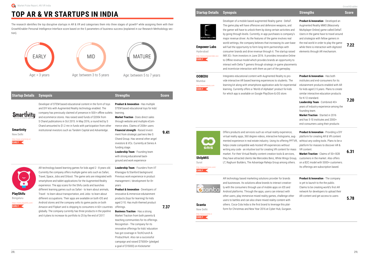#### **Startup Details Synopsis Strengths Score**



Developer of a mobile based augmented Reality game - DeltaT. The game play will have offensive and defensive weapons, and the gamer will have to unlock them by doing certain activities and by going through levels. Currently, in-app purchases is company's major revenue driver. As the features of the game involves real world settings, the company believes that increasing its user-base will fuel the opportunity to form long-term partnerships with consumer brands and drive revenue through it. The startup raised INR 3Cr. from investors in June 2016. It provides innovative Online to Offline revenue model which provides brands an opportunity to interact with Delta T gamers through strategic in-game placements and incentivize interaction with them as part of the

Integrates educational content with Augmented Real vide interactive AR based learning experiences to students. learning kit along with smartphone application aids learning. Currently offers a 'World of Alphabet' prod for which app is available on Google PlayStore & iO



**Empower Labs**

Hyderabad *http://www.empower.* **EARLY**

**Product & Innovation** - Developed an Augmented Reality MMO (Massively

Multiplayer Online) game called DeltaT. Users in the game have to travel around and strategize with fellow gamers in the real world in order to play the game while there is interaction with digitized elements through AR mechanism.

**7.22**

**OOBEDU** Mumbai *http://www.oobedu.com* **EARLY**

> AR technology based marketing solutions provider and businesses. Its solutions allow brands to intera ly with the consumers through use of mobile apps Android platforms. Through the apps, users can int other users, play immersive mixed reality games, challenge other users to battles and can also share mixed reality content with all with  $\alpha$ others. Coca-Cola India is the first brand to leverage this platform for Christmas and New Year 2016 at Cyber Hub, Gurgaon.

**ShilpMIS** Surat

*http://www.shilpmis.com/* **EARLY**

Offers products and services such as virtual reality virtual reality apps, 360 degree videos, interactive mented experience in real estate industry. Using its helps create compatible web-hosted VR experience writing any code - an intuitive tool for creating VR content for market. For their Virtual Reality content creation to they have attracted clients like Mercedes Benz, Wh LT, Raghuvir Builders, The Advantage Raheja Group



| : yanıepidy.                                                                                                                                 |                                                                                                                                                                                                                                                                                                                                                                                                                                                      |      |
|----------------------------------------------------------------------------------------------------------------------------------------------|------------------------------------------------------------------------------------------------------------------------------------------------------------------------------------------------------------------------------------------------------------------------------------------------------------------------------------------------------------------------------------------------------------------------------------------------------|------|
| ality to pro-<br>tudents. The<br>s for experiential<br>duct for kids<br>S store.                                                             | <b>Product &amp; Innovation - Has both</b><br>institutes and end-consumers for its<br>edutainment products enabled with AR<br>for kids aged 2-5 years. Plans to create<br>similar interactive education products<br>for K-12 standard.<br>Leadership Team - Combined 40+<br>years of industry experience among the<br>founding team.<br>Market Traction - Started in 2016<br>and has 5-10 institutes and 2000+<br>end-consumers using their products | 7.20 |
| experience,<br>holograms, aug-<br>s offering PPTVR,<br>es without<br>ontent for mass<br>ols & services,<br>ite Wings Group,<br>among others. | Product & Innovation - Providing a DIY<br>platform for creating AR & VR content<br>wihtout any coding tools. Plans to be a<br>platform for masses to discover AR &<br>VR content.<br>Market Traction - Claims of 50+ B2B<br>customers in the market. Also offers<br>on a B2C model with 5000+ customers.<br>Its offerings are subscription based.                                                                                                    | 6.31 |
| for brands<br>act creative-<br>on iOS and<br>teract with<br>hallenge other<br>ontent with                                                    | Product & Innovation - The company<br>is yet to launch to the the public.<br>Claims to be creating world's first AR<br>network for developers to upload their<br>AR content and get access to users                                                                                                                                                                                                                                                  | 5.78 |

**Scanta**

New Delhi



## **TOP AR & VR STARTUPS IN INDIA**

The research identifies the top disruptive startups in AR & VR and categorises them into three stages of growth\* while assigning them with their GrowthEnabler Personal Intelligence Interface score based on the 5 parameters of business success (explained in our Research Methodology section).

#### **Startup Details Synopsis Strengths Score**

**Smartivity** 

**Smartivity** New Delhi

*http://www.smartivity.in/* **EARLY**

Developer of STEM based educational content in the form of toys and DIY kits with Augmented Reality technology enabled. The company has previously claimed of presence in 500+ offline outlets learning. and ecommerce stores. Has raised seed funds of \$200k from S Chand publications in Oct 2015. In May 2016, a round led by S Chand amounted to \$1.2 mn in funds with participation from other institutional investors such as Tandem Capital and Advantedge.

**Product & Innovation** - Has multiple STEM based educational toys for kids'

**Market Traction** - Does direct sales through website and multiple eCommerce sites. Claims of 200k+ users **Financial strength** - Raised investment from strategic partners like S Chand Group. Has several other angel investors & VCs. Currently at Series A funding stage.

**Leadership Team** - Founding team with strong educational background and work experience

**9.41**

**PlayShifu** Bengaluru *https://www.playshifu.com/*

**EARLY**



AR technology based learning games for kids aged 2 - 8 years old. Currently the company offers multiple game sets such as Safari, Travel, Space, Jobs and Orboot. The game sets are integrated with smartphone and tablet applications for the Augmented Reality experience. The app scans for the Shifu cards and launches different learning games such as Safari - to learn about animals, Travel - to learn about transportation, and Jobs- to learn about different occupations. Their apps are available on both iOS and Android stores and the company sells its game packs on both Amazon and Flipkart and is shipping to consumers in 60+ countries offerings. globally. The company currently has three products in the pipeline and it plans to increase its portfolio to 25 by the end of 2017.

**Leadership Team** - Founders from IIT Kharagpur & Stanford background. Previous work experience in product management / development for 8+ years

**Product & Innovation** - Developers of innovative & immersive edutainment products (toys for learning) for kids aged 2-10. Has multi-themed product

**Business Traction** - Has a strong Market Traction from both parents & teaching communities for its offerings. Recognition - The company for its innovative offerings for kids' education has got coverage in TechCrunch & ProductHunt. Also ran a successful campaign and raised \$75000+ (pledged a goal of \$15000) on Kickstarter

**7.37**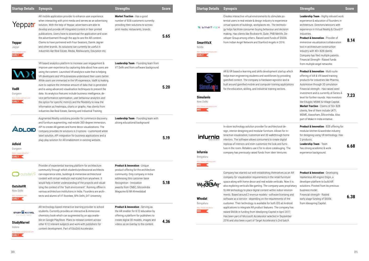| <b>Startup Details</b>                                                                       | <b>Synopsis</b>                                                                                                                                                                                                                                                                                                                                                                                                                                           | <b>Strengths</b>                                                                                                                                                                                                                                                                                                                                                                                                                                                                               | <b>Score</b> |
|----------------------------------------------------------------------------------------------|-----------------------------------------------------------------------------------------------------------------------------------------------------------------------------------------------------------------------------------------------------------------------------------------------------------------------------------------------------------------------------------------------------------------------------------------------------------|------------------------------------------------------------------------------------------------------------------------------------------------------------------------------------------------------------------------------------------------------------------------------------------------------------------------------------------------------------------------------------------------------------------------------------------------------------------------------------------------|--------------|
| <b>W</b> smartvizx<br><b>SmartVizX</b><br>Noida<br>http://www.smartvizx.com/<br><b>EARLY</b> | Creates interactive virtual environments to stimulate po-<br>tential users in real-estate & design industry to experience<br>virtual spaces of buildings, workplaces etc. The technolo-<br>gy helps facilitate consumer buying behaviour and decision<br>making. Has clients like Rockworth, Quikr, PNB Metlife, De-<br>veloper Group among others. Raised seed funds of \$500k<br>from Indian Angel Network and Stanford Angels in 2016.                 | Leadership Team - Highly relevant work<br>experience & education of founders in<br>architecture. Directors/advisors with<br>experience in Virtual Reality & Cloud/IT<br>industries.<br><b>Product &amp; Innovation - Provider of</b><br>immersive visualization/collaboration<br>tool in architecture-construction<br>industry with 40+ B2B clients.<br>Company has filed multiple patents.<br>Financial Strength - Raised funds<br>from multiple angel networks.                              | 8.14         |
| <b>Simulanis</b><br>New Delhi<br>http://www.simulanis.com/<br><b>MID</b>                     | AR & VR based e-learning and skills development startup which<br>helps train engineering students and workforces by providing<br>gamified content. The company is hardware-agnostic and is<br>built around gamified mobile and computer training applications<br>for the education, skilling, and industrial training sectors.                                                                                                                            | <b>Product &amp; Innovation - Multi-suite</b><br>offering of AR & VR based training<br>products for industries like Pharma,<br>Automotive through 3D simulation<br>Financial strength - Has raised seed<br>investment and is currently at Series A<br>level for further rounds. Has investors<br>like Edugild, MSME & Village Capital.<br>Market Traction - Claims of 50+ B2B<br>clients, few of them include UKTI,<br>MSME, Assocham, SiliconIndia. Also<br>part of Make In India initiative. | 7.23         |
| infurnic<br>Infurnia<br>Bengaluru<br>http://www.infurnia.com/<br><b>MID</b>                  | In-store technology solution provider for architectural de-<br>sign, interior designing and modular furniture. Allows for in-<br>teractive visualization, customize and 3D walkthrough home<br>interiors. The software allows consumers to create digital<br>replicas of interiors and even customize the look and furni-<br>ture in the room. Retailers use it for in-store catalouging. The<br>company has previously raised funds from Idein Ventures. | Product & Innovation - B2B offering for<br>modular kitchen & wardrobe industry<br>for designing using VR technology. Has<br>2 products.<br>Leadership Team - Team<br>has strong academic & work<br>experience background.                                                                                                                                                                                                                                                                      | 6.68         |
|                                                                                              | Company has started out with establishing themselves as an AR<br>company for visualization requirements in the retail/furniture                                                                                                                                                                                                                                                                                                                           | <b>Product &amp; Innovation - Developing</b><br>markerless AR engine Origin, a                                                                                                                                                                                                                                                                                                                                                                                                                 |              |

state verticals. Now it is company uses proprietary t within indoor environ-- software licensing and requirements of the or both iOS ad Android tures. The company has Capital in April 2017. selected in September elerator's 2nd batch.

developer platform to build AR solutions. Pivoted from its previous business model. Financial strength - Raised early stage funding of \$600k from Ideaspring Capital.

**6.38**

| <b>Startup Details</b>                                                                                                              | <b>Synopsis</b>                                                                                                                                                                                                                                                                                                                                                                                                                                                                                                                                                                                                                                                                                                                                                                                                                                                     | <b>Strengths</b>                                                                                                                                                                                                                      | <b>Score</b> | <b>Startup Details</b>                                                                       | <b>Synopsis</b>                                                                                                                                                                                                                                                                                                                                                                                     |
|-------------------------------------------------------------------------------------------------------------------------------------|---------------------------------------------------------------------------------------------------------------------------------------------------------------------------------------------------------------------------------------------------------------------------------------------------------------------------------------------------------------------------------------------------------------------------------------------------------------------------------------------------------------------------------------------------------------------------------------------------------------------------------------------------------------------------------------------------------------------------------------------------------------------------------------------------------------------------------------------------------------------|---------------------------------------------------------------------------------------------------------------------------------------------------------------------------------------------------------------------------------------|--------------|----------------------------------------------------------------------------------------------|-----------------------------------------------------------------------------------------------------------------------------------------------------------------------------------------------------------------------------------------------------------------------------------------------------------------------------------------------------------------------------------------------------|
| Yepp <del>r</del> .r<br><b>Yeppar</b><br>Jaipur<br>http://yeppar.com/<br><b>EARLY</b>                                               | AR mobile application provider to enhance user experience<br>when interacting with print media and serves as an advertising<br>solution. With the help of Yeppar, advertisers are able to<br>develop and provide AR integrated content in their printed<br>publications. Users have to download the application and scan<br>the advertisement through the app to see the AR content.<br>Claims to have partnered with Four Seasons, Dainik Jagran<br>and other brands. Its solutions can currently be useful in<br>industries like Real Estate, Media, Restaurants, Education etc.                                                                                                                                                                                                                                                                                  | Market Traction - Has a good<br>number of B2B customers currently<br>providing their solutions to across<br>print media, restaurants, brands.                                                                                         | 5.65         | <b>W</b> smartvizx<br><b>SmartVizX</b><br>Noida<br>http://www.smartvizx.com/<br><b>EARLY</b> | Creates interactive virtual environments to stimulat<br>tential users in real-estate & design industry to expe<br>virtual spaces of buildings, workplaces etc. The tec<br>gy helps facilitate consumer buying behaviour and<br>making. Has clients like Rockworth, Quikr, PNB Met<br>veloper Group among others. Raised seed funds of<br>from Indian Angel Network and Stanford Angels in :         |
| <b>VadR</b><br>Gurgaon<br>http://www.vadrnet.com<br><b>EARLY</b>                                                                    | VR based analytics platform to increase user engagement &<br>improve user experience by capturing data about how users are<br>using the content. Launched VR analytics suite that is helping<br>VR developers and VR businesses understand their users better.<br>While users are immersed in the VR experience, VadR is making<br>sure to capture the immense amount of data that is generated<br>and is using advanced visualisation techniques to present the<br>data. Its analytics features include business intelligence, de-<br>vice performance optimisation, user behaviour analytics and<br>the option for specific metrics and the flexibility to view the<br>information as heatmaps, charts or graphs. Has clients from<br>industries like Real Estate, Gaming and Industrial Training.<br>Augmented Reality solutions provider for commerce discovery | Leadership Team - Founding team from<br>IIT Delhi and from software background<br>Leadership Team - Founding team with                                                                                                                | 5.20         | <b>Simulanis</b><br>New Delhi<br>http://www.simulanis.com/<br><b>MID</b>                     | AR & VR based e-learning and skills development st<br>helps train engineering students and workforces by<br>gamified content. The company is hardware-agnos<br>built around gamified mobile and computer training<br>for the education, skilling, and industrial training se                                                                                                                        |
| ADLOD<br><b>Adloid</b><br>Gurgaon<br>https://www.adloid.in/<br>EARLY <                                                              | and furniture augmenting, real-estate 360-degree immersion,<br>API to create AR games and home decor visualizations. The<br>company provides its solutions in 3 options - customized white<br>label solution, API integration for business applications and a<br>plug-play solution for AR enablement in existing website.                                                                                                                                                                                                                                                                                                                                                                                                                                                                                                                                          | strong educational background                                                                                                                                                                                                         | 5.19         | infurnia<br><b>Infurnia</b><br>Bengaluru<br>http://www.infurnia.com/                         | In-store technology solution provider for architectu<br>sign, interior designing and modular furniture. Allow<br>teractive visualization, customize and 3D walkthrou<br>interiors. The software allows consumers to create<br>replicas of interiors and even customize the look are<br>ture in the room. Retailers use it for in-store catalou<br>company has previously raised funds from Idein Ve |
| outsiteVR<br><b>OutsiteVR</b><br>New Delhi<br>http://outsitevr.com<br><b>EARLY</b>                                                  | Provider of experiential learning platform for architecture<br>community through which students/professional architects<br>can experience sites, buildings & immersive architectural<br>content with virtual reality(in real scale) from anywhere. It<br>would help in better understanding of the projects and visual-<br>izing the context of the "built environment". Running offline in<br>various architecture institutions in India. Founders are archi-<br>tects and alumni of IIT Roorkee, SPA Delhi, DIT University                                                                                                                                                                                                                                                                                                                                        | Product & Innovation - Unique<br>product offering for the architecture<br>community. Only company in India<br>addressing this customer base<br>Recognition - Innovation<br>awards from CNBC, SiliconIndia<br>Magazine & IIM Ahmedabad | 5.18         | $MD \leq$<br>Whodat                                                                          | Company has started out with establishing themse<br>company for visualization requirements in the retail<br>space along with home decor and real estate vertic<br>also exploring verticals like gaming. The company u<br>SLAM technology to place digital content within ind<br>ments. Based around 2 revenue models - software<br>software as a service - depending on the requireme               |
| <b>STUDY &amp; MARVEL</b><br>SCAN   AUGMENT   IMMERSE<br><b>StudyMarvel</b><br>Indore<br>http://www.studymarvel.com<br><b>EARLY</b> | AR technology based interactive learning provider to school<br>students. Currently provides an interactive & immersive<br>chemistry book which can augmented by an app availa-<br>ble on Google PlayStore. Plans to release content across<br>other K-12 relevant subjects and work with publishers for<br>content development. Part of EduGild Accelerator.                                                                                                                                                                                                                                                                                                                                                                                                                                                                                                        | <b>Product &amp; Innovation - Serving as</b><br>the AR enabler for K-12 education by<br>offering a platform for publishers to<br>create digital 3D models, images and<br>videos as an overlay to the content.                         | 4.36         | Bengaluru<br>http://www.whodat.in<br>MID                                                     | customer. Their technology is available for both iOS<br>applications to integrate AR product features. The o<br>raised \$600k in funding from IdeaSpring Capital in<br>Has been part of Microsoft Accelerator selected in<br>2016 and also been a part of Target Accelerator's 2                                                                                                                    |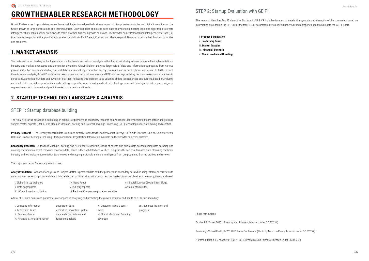#### STEP 2: Startup Evaluation with GE Pii

The research identifies Top 15 disruptive Startups in AR & VR India landscape and details the synopsis and strengths of the companies based on information provided on the RFI. Out of the total 57, 30 parameters are classified under 5 broad categories used to calculate the GE Pii Score.

- i. **Product & Innovation**
- ii. **Leadership Team**
- iii. **Market Traction**
- iv. **Financial Strength**
- v. **Social media and Branding**

Photo Attributions:

Oculus Rift Driver, 2015. (Photo by Nan Palmero, licensed under CC BY 2.0.)

Samsung's Virtual Reality MWC 2016 Press Conference (Photo by Maurizio Pesce, licensed under CC BY 2.0.)

A woman using a VR headset at SXSW, 2015. (Photo by Nan Palmero, licensed under CC BY 2.0.)

## **GROWTHENABLER RESEARCH METHODOLOGY**

GrowthEnabler uses its proprietary research methodologies to analyse the business impact of disruptive technologies and digital innovations on the future growth of large corporations and their industries. GrowthEnabler applies its deep-data analysis tools, scoring logic and algorithms to create intelligence that enables senior executives to make informed business growth decisions. The GrowthEnabler Personalised Intelligence Interface (Pii) is an interactive platform that provides corporates the ability to Find, Select, Connect and Manage global Startups based on their business priorities and problems.

#### **1. MARKET ANALYSIS**

To create and report leading technology-related market trends and industry analysis with a focus on industry sub-sectors, real-life implementations, industry and market landscapes and competitor dynamics, GrowthEnabler analyses large sets of data and information aggregated from various private and public sources, including online databases, market reports, online surveys, journals, and in-depth phone interviews. To further enrich the efficacy of analysis, GrowthEnabler undertakes formal and informal interviews and RFI's and surveys with key decision makers and executives in corporates, as well as founders and owners of Startups. Following this exercise, large volumes of data is categorised and curated, based on, industry and market drivers, risks, opportunities and challenges specific to an industry vertical or technology area, and then injected into a pre-configured regression model to forecast and predict market movements and trends.

#### **2. STARTUP TECHNOLOGY LANDSCAPE & ANALYSIS**

#### STEP 1: Startup database building

The AR & VR Startup database is built using an exhaustive primary and secondary research analysis model, led by dedicated team of tech analysts and subject matter experts (SMEs), who also use Machine Learning and Natural Language Processing (NLP) technologies for data mining and curation.

**Primary Research** – The Primary research data is sourced directly from GrowthEnabler Market Surveys, RFI's with Startups, One-on-One Interviews, Calls and Product briefings, including Startup and Client Registration Information available on the GrowthEnabler Pii platform.

**Secondary Research** – A team of Machine Learning and NLP experts scan thousands of private and public data sources using data scraping and crawling methods to extract relevant secondary data, which is then validated and verified using GrowthEnabler automated data-cleansing methods, industry and technology segmentation taxonomies and mapping protocols and core intelligence from pre-populated Startup profiles and reviews.

The major sources of Secondary research are:

**Analyst validation** – A team of Analysts and Subject Matter Experts validate both the primary and secondary data while using internal peer reviews to substantiate core assumptions and data points, and external discussions with senior decision makers to assess business relevancy, timing and need.

A total of 57 data-points and parameters are applied in analysing and predicting the growth potential and health of a Startup, including:

| i. Global Startup websites      | iv. News Feeds                             | vii. Social Sources (Social Sites, Blogs, |
|---------------------------------|--------------------------------------------|-------------------------------------------|
| ii. Data aggregators            | v. Industry reports                        | Articles, Media sites)                    |
| iii. VC and Investor portfolios | vi. Regional Company registration websites |                                           |

| i. Company information          | acquisition data               | vi. Customer value & senti-    | viii. Business Traction and |
|---------------------------------|--------------------------------|--------------------------------|-----------------------------|
| ii. Leadership Team             | v. Product Innovation - patent | ments                          | progress                    |
| iii. Business Model             | data and core features and     | vii. Social Media and Branding |                             |
| iv. Financial Strength/Funding/ | functions analysis             | coverage                       |                             |